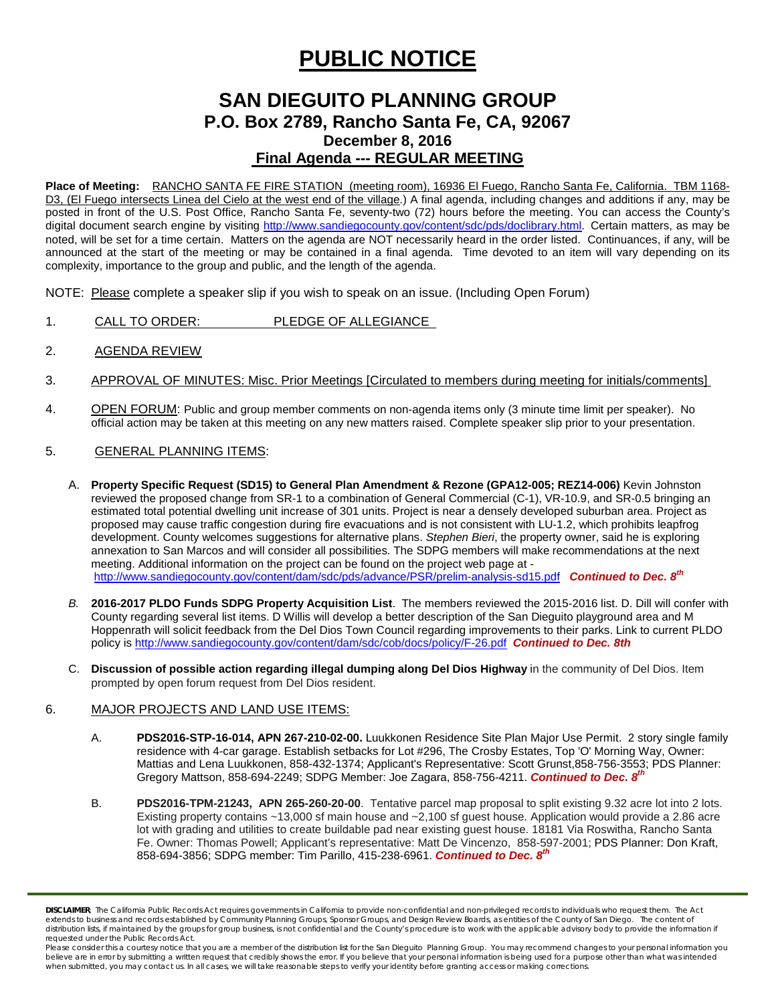# **PUBLIC NOTICE**

## **SAN DIEGUITO PLANNING GROUP P.O. Box 2789, Rancho Santa Fe, CA, 92067 December 8, 2016 Final Agenda --- REGULAR MEETING**

**Place of Meeting:** RANCHO SANTA FE FIRE STATION (meeting room), 16936 El Fuego, Rancho Santa Fe, California. TBM 1168- D3, (El Fuego intersects Linea del Cielo at the west end of the village.) A final agenda, including changes and additions if any, may be posted in front of the U.S. Post Office, Rancho Santa Fe, seventy-two (72) hours before the meeting. You can access the County's digital document search engine by visiting<http://www.sandiegocounty.gov/content/sdc/pds/doclibrary.html>. Certain matters, as may be noted, will be set for a time certain. Matters on the agenda are NOT necessarily heard in the order listed. Continuances, if any, will be announced at the start of the meeting or may be contained in a final agenda. Time devoted to an item will vary depending on its complexity, importance to the group and public, and the length of the agenda.

NOTE: Please complete a speaker slip if you wish to speak on an issue. (Including Open Forum)

- 1. CALL TO ORDER: PLEDGE OF ALLEGIANCE
- 2. AGENDA REVIEW
- 3. APPROVAL OF MINUTES: Misc. Prior Meetings [Circulated to members during meeting for initials/comments]
- 4. OPEN FORUM: Public and group member comments on non-agenda items only (3 minute time limit per speaker). No official action may be taken at this meeting on any new matters raised. Complete speaker slip prior to your presentation.

### 5. GENERAL PLANNING ITEMS:

- A. **Property Specific Request (SD15) to General Plan Amendment & Rezone (GPA12-005; REZ14-006)** Kevin Johnston reviewed the proposed change from SR-1 to a combination of General Commercial (C-1), VR-10.9, and SR-0.5 bringing an estimated total potential dwelling unit increase of 301 units. Project is near a densely developed suburban area. Project as proposed may cause traffic congestion during fire evacuations and is not consistent with LU-1.2, which prohibits leapfrog development. County welcomes suggestions for alternative plans. *Stephen Bieri*, the property owner, said he is exploring annexation to San Marcos and will consider all possibilities. The SDPG members will make recommendations at the next meeting. Additional information on the project can be found on the project web page at <http://www.sandiegocounty.gov/content/dam/sdc/pds/advance/PSR/prelim-analysis-sd15.pdf>*Continued to Dec. 8th*
- *B.* **2016-2017 PLDO Funds SDPG Property Acquisition List**. The members reviewed the 2015-2016 list. D. Dill will confer with County regarding several list items. D Willis will develop a better description of the San Dieguito playground area and M Hoppenrath will solicit feedback from the Del Dios Town Council regarding improvements to their parks. Link to current PLDO policy i[s http://www.sandiegocounty.gov/content/dam/sdc/cob/docs/policy/F-26.pdf](http://www.sandiegocounty.gov/content/dam/sdc/cob/docs/policy/F-26.pdf) *Continued to Dec. 8th*
- C. **Discussion of possible action regarding illegal dumping along Del Dios Highway** in the community of Del Dios. Item prompted by open forum request from Del Dios resident.

### 6. MAJOR PROJECTS AND LAND USE ITEMS:

- A. **PDS2016-STP-16-014, APN 267-210-02-00.** Luukkonen Residence Site Plan Major Use Permit. 2 story single family residence with 4-car garage. Establish setbacks for Lot #296, The Crosby Estates, Top 'O' Morning Way, Owner: Mattias and Lena Luukkonen, [858-432-1374;](tel:858-432-1374) Applicant's Representative: Scott Gruns[t,858-756-3553;](tel:858-756-3553) PDS Planner: Gregory Mattson, [858-694-2249;](tel:858-694-2249) SDPG Member: Joe Zagara, [858-756-4211.](tel:858-756-4211) **Continued to Dec. 8**<sup>th</sup>
- B. **PDS2016-TPM-21243, APN 265-260-20-00**. Tentative parcel map proposal to split existing 9.32 acre lot into 2 lots. Existing property contains ~13,000 sf main house and ~2,100 sf guest house. Application would provide a 2.86 acre lot with grading and utilities to create buildable pad near existing guest house. 18181 Via Roswitha, Rancho Santa Fe. Owner: Thomas Powell; Applicant's representative: Matt De Vincenzo, 858-597-2001; PDS Planner: Don Kraft, 858-694-3856; SDPG member: Tim Parillo, [415-238-6961.](tel:415-238-6961) *Continued to Dec. 8th*

*DISCLAIMER; The California Public Records Act requires governments in California to provide non-confidential and non-privileged records to individuals who request them. The Act*  extends to business and records established by Community Planning Groups, Sponsor Groups, and Design Review Boards, as entities of the County of San Diego. The content of distribution lists, if maintained by the groups for group business, is not confidential and the County's procedure is to work with the applicable advisory body to provide the information if *requested under the Public Records Act.*

Please consider this a courtesy notice that you are a member of the distribution list for the San Dieguito Planning Group. You may recommend changes to your personal information you believe are in error by submitting a written request that credibly shows the error. If you believe that your personal information is being used for a purpose other than what was intended<br>when submitted, you may contact us.